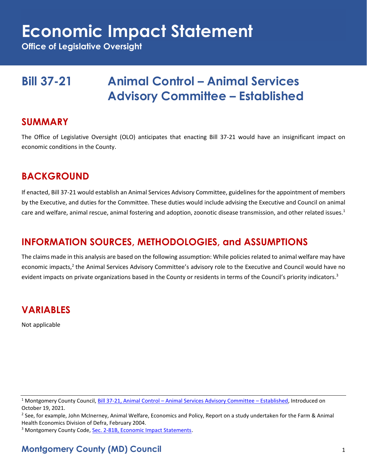# **Economic Impact Statement**

**Office of Legislative Oversight**

## **Bill 37-21 Animal Control – Animal Services Advisory Committee – Established**

#### **SUMMARY**

The Office of Legislative Oversight (OLO) anticipates that enacting Bill 37-21 would have an insignificant impact on economic conditions in the County.

#### **BACKGROUND**

If enacted, Bill 37-21 would establish an Animal Services Advisory Committee, guidelines for the appointment of members by the Executive, and duties for the Committee. These duties would include advising the Executive and Council on animal care and welfare, animal rescue, animal fostering and adoption, zoonotic disease transmission, and other related issues. $1$ 

### **INFORMATION SOURCES, METHODOLOGIES, and ASSUMPTIONS**

The claims made in this analysis are based on the following assumption: While policies related to animal welfare may have economic impacts,<sup>2</sup> the Animal Services Advisory Committee's advisory role to the Executive and Council would have no evident impacts on private organizations based in the County or residents in terms of the Council's priority indicators.<sup>3</sup>

### **VARIABLES**

Not applicable

<sup>1</sup> Montgomery County Council, Bill 37-21, Animal Control – [Animal Services Advisory Committee](https://apps.montgomerycountymd.gov/ccllims/DownloadFilePage?FileName=2729_1_17762_Bill_37-2021_Introduction_20211019.pdf) – Established, Introduced on October 19, 2021.

<sup>&</sup>lt;sup>2</sup> See, for example, John McInerney, Animal Welfare, Economics and Policy, Report on a study undertaken for the Farm & Animal Health Economics Division of Defra, February 2004.

<sup>&</sup>lt;sup>3</sup> Montgomery County Code, [Sec. 2-81B, Economic Impact Statements.](https://codelibrary.amlegal.com/codes/montgomerycounty/latest/montgomeryco_md/0-0-0-80894)